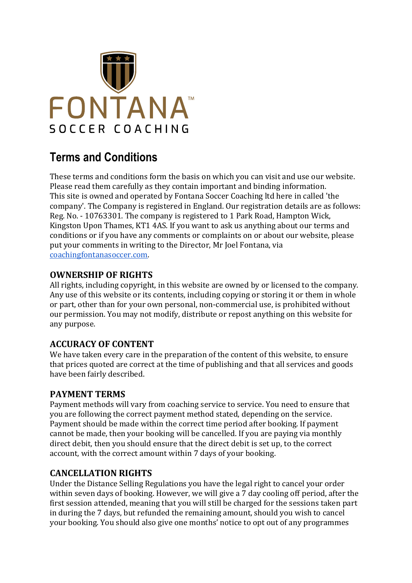

# **Terms and Conditions**

These terms and conditions form the basis on which you can visit and use our website. Please read them carefully as they contain important and binding information. This site is owned and operated by Fontana Soccer Coaching ltd here in called 'the company'. The Company is registered in England. Our registration details are as follows: Reg. No. - 10763301. The company is registered to 1 Park Road, Hampton Wick, Kingston Upon Thames, KT1 4AS. If you want to ask us anything about our terms and conditions or if you have any comments or complaints on or about our website, please put your comments in writing to the Director, Mr Joel Fontana, via [coachingfontanasoccer.com.](http://coachingfontanasoccer.com/)

# **OWNERSHIP OF RIGHTS**

All rights, including copyright, in this website are owned by or licensed to the company. Any use of this website or its contents, including copying or storing it or them in whole or part, other than for your own personal, non-commercial use, is prohibited without our permission. You may not modify, distribute or repost anything on this website for any purpose.

### **ACCURACY OF CONTENT**

We have taken every care in the preparation of the content of this website, to ensure that prices quoted are correct at the time of publishing and that all services and goods have been fairly described.

### **PAYMENT TERMS**

Payment methods will vary from coaching service to service. You need to ensure that you are following the correct payment method stated, depending on the service. Payment should be made within the correct time period after booking. If payment cannot be made, then your booking will be cancelled. If you are paying via monthly direct debit, then you should ensure that the direct debit is set up, to the correct account, with the correct amount within 7 days of your booking.

### **CANCELLATION RIGHTS**

Under the Distance Selling Regulations you have the legal right to cancel your order within seven days of booking. However, we will give a 7 day cooling off period, after the first session attended, meaning that you will still be charged for the sessions taken part in during the 7 days, but refunded the remaining amount, should you wish to cancel your booking. You should also give one months' notice to opt out of any programmes